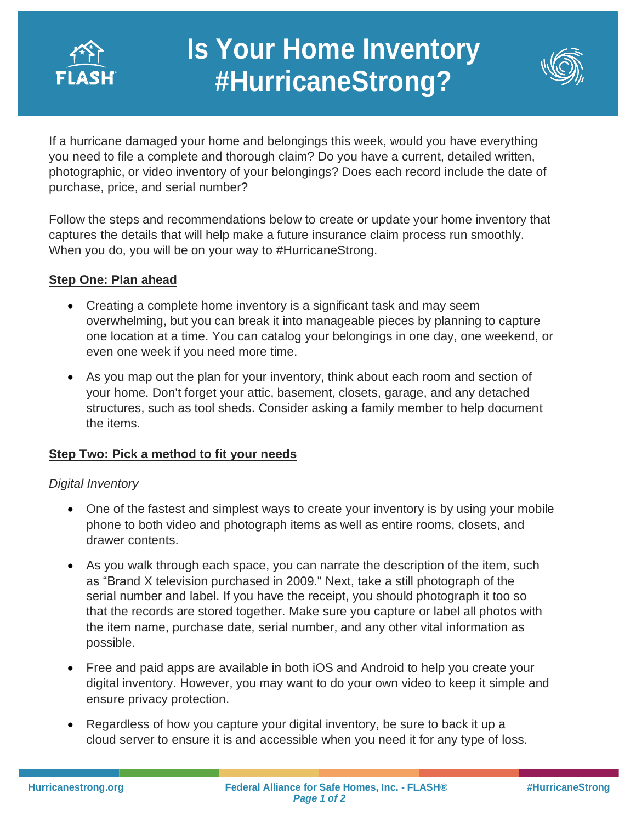

# **Is Your Home Inventory #HurricaneStrong?**

**Protection**



If a hurricane damaged your home and belongings this week, would you have everything If a hurricane damaged your home and belongings this week, would you have everything<br>you need to file a complete and thorough claim? Do you have a current, detailed written, photographic, or video inventory of your belongings? Does each record include the date of purchase, price, and serial number?

Follow the steps and recommendations below to create or update your home inventory that captures the details that will help make a future insurance claim process run smoothly. When you do, you will be on your way to #HurricaneStrong.

# **Step One: Plan ahead**

- Creating a complete home inventory is a significant task and may seem overwhelming, but you can break it into manageable pieces by planning to capture one location at a time. You can catalog your belongings in one day, one weekend, or even one week if you need more time.
- As you map out the plan for your inventory, think about each room and section of your home. Don't forget your attic, basement, closets, garage, and any detached structures, such as tool sheds. Consider asking a family member to help document the items.

## **Step Two: Pick a method to fit your needs**

## *Digital Inventory*

- One of the fastest and simplest ways to create your inventory is by using your mobile phone to both video and photograph items as well as entire rooms, closets, and drawer contents.
- As you walk through each space, you can narrate the description of the item, such as "Brand X television purchased in 2009." Next, take a still photograph of the serial number and label. If you have the receipt, you should photograph it too so that the records are stored together. Make sure you capture or label all photos with the item name, purchase date, serial number, and any other vital information as possible.
- Free and paid apps are available in both iOS and Android to help you create your digital inventory. However, you may want to do your own video to keep it simple and ensure privacy protection.
- Regardless of how you capture your digital inventory, be sure to back it up a cloud server to ensure it is and accessible when you need it for any type of loss.